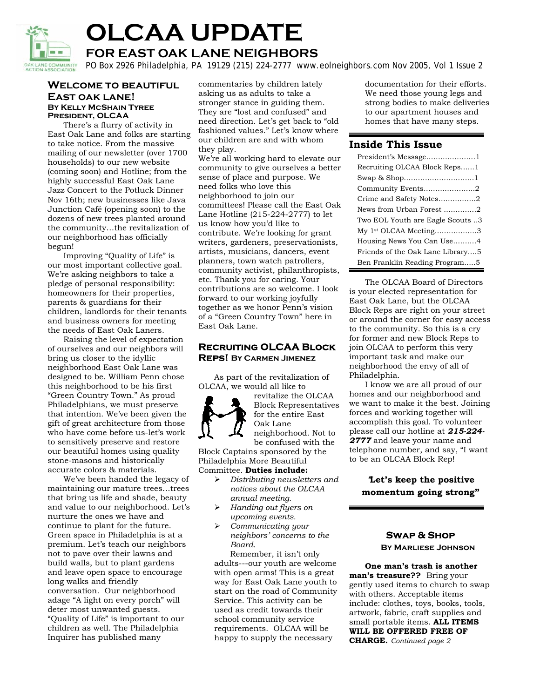

# **OLCAA UPDATE**

**FOR EAST OAK LANE NEIGHBORS** 

PO Box 2926 Philadelphia, PA 19129 (215) 224-2777 www.eolneighbors.com Nov 2005, Vol 1 Issue 2

# **Welcome to beautiful East oak lane! By Kelly McShain Tyree President, OLCAA**

 There's a flurry of activity in East Oak Lane and folks are starting to take notice. From the massive mailing of our newsletter (over 1700 households) to our new website (coming soon) and Hotline; from the highly successful East Oak Lane Jazz Concert to the Potluck Dinner Nov 16th; new businesses like Java Junction Café (opening soon) to the dozens of new trees planted around the community…the revitalization of our neighborhood has officially begun!

 Improving "Quality of Life" is our most important collective goal. We're asking neighbors to take a pledge of personal responsibility: homeowners for their properties, parents & guardians for their children, landlords for their tenants and business owners for meeting the needs of East Oak Laners.

Raising the level of expectation of ourselves and our neighbors will bring us closer to the idyllic neighborhood East Oak Lane was designed to be. William Penn chose this neighborhood to be his first "Green Country Town." As proud Philadelphians, we must preserve that intention. We've been given the gift of great architecture from those who have come before us-let's work to sensitively preserve and restore our beautiful homes using quality stone-masons and historically accurate colors & materials.

 We've been handed the legacy of maintaining our mature trees…trees that bring us life and shade, beauty and value to our neighborhood. Let's nurture the ones we have and continue to plant for the future. Green space in Philadelphia is at a premium. Let's teach our neighbors not to pave over their lawns and build walls, but to plant gardens and leave open space to encourage long walks and friendly conversation. Our neighborhood adage "A light on every porch" will deter most unwanted guests. "Quality of Life" is important to our children as well. The Philadelphia Inquirer has published many

commentaries by children lately asking us as adults to take a stronger stance in guiding them. They are "lost and confused" and need direction. Let's get back to "old fashioned values." Let's know where our children are and with whom they play.

We're all working hard to elevate our community to give ourselves a better sense of place and purpose. We need folks who love this neighborhood to join our committees! Please call the East Oak Lane Hotline (215-224-2777) to let us know how you'd like to contribute. We're looking for grant writers, gardeners, preservationists, artists, musicians, dancers, event planners, town watch patrollers, community activist, philanthropists, etc. Thank you for caring. Your contributions are so welcome. I look forward to our working joyfully together as we honor Penn's vision of a "Green Country Town" here in East Oak Lane.

# **Recruiting OLCAA Block Reps! By Carmen Jimenez**

 As part of the revitalization of OLCAA, we would all like to



revitalize the OLCAA Block Representatives for the entire East Oak Lane neighborhood. Not to

be confused with the Block Captains sponsored by the Philadelphia More Beautiful

# Committee. **Duties include:**

- ¾ *Distributing newsletters and notices about the OLCAA annual meeting.*
- ¾ *Handing out flyers on upcoming events.*
- ¾ *Communicating your neighbors' concerns to the Board.*

Remember, it isn't only adults---our youth are welcome with open arms! This is a great way for East Oak Lane youth to start on the road of Community Service. This activity can be used as credit towards their school community service requirements. OLCAA will be happy to supply the necessary

documentation for their efforts. We need those young legs and strong bodies to make deliveries to our apartment houses and homes that have many steps.

# **Inside This Issue**

| Recruiting OLCAA Block Reps1      |
|-----------------------------------|
| Swap & Shop1                      |
| Community Events2                 |
| Crime and Safety Notes2           |
| News from Urban Forest 2          |
| Two EOL Youth are Eagle Scouts 3  |
| My 1 <sup>st</sup> OLCAA Meeting3 |
| Housing News You Can Use4         |
| Friends of the Oak Lane Library5  |
| Ben Franklin Reading Program5     |

The OLCAA Board of Directors is your elected representation for East Oak Lane, but the OLCAA Block Reps are right on your street or around the corner for easy access to the community. So this is a cry for former and new Block Reps to join OLCAA to perform this very important task and make our neighborhood the envy of all of Philadelphia.

I know we are all proud of our homes and our neighborhood and we want to make it the best. Joining forces and working together will accomplish this goal. To volunteer please call our hotline at *215-224- 2777* and leave your name and telephone number, and say, "I want to be an OLCAA Block Rep!

"**Let's keep the positive momentum going strong"**

# **Swap & Shop**

**By Marliese Johnson** 

 **One man's trash is another man's treasure??** Bring your gently used items to church to swap with others. Acceptable items include: clothes, toys, books, tools, artwork, fabric, craft supplies and small portable items. **ALL ITEMS WILL BE OFFERED FREE OF CHARGE.** *Continued page 2*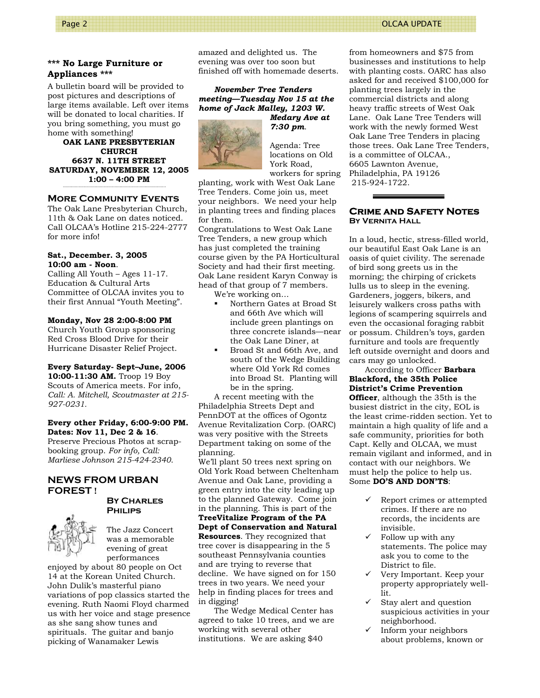#### **\*\*\* No Large Furniture or Appliances \*\*\***

A bulletin board will be provided to post pictures and descriptions of large items available. Left over items will be donated to local charities. If you bring something, you must go home with something!

**OAK LANE PRESBYTERIAN CHURCH 6637 N. 11TH STREET SATURDAY, NOVEMBER 12, 2005 1:00 – 4:00 PM** 

# **More Community Events**

The Oak Lane Presbyterian Church, 11th & Oak Lane on dates noticed. Call OLCAA's Hotline 215-224-2777 for more info!

#### **Sat., December. 3, 2005 10:00 am - Noon**.

Calling All Youth – Ages 11-17. Education & Cultural Arts Committee of OLCAA invites you to their first Annual "Youth Meeting".

#### **Monday, Nov 28 2:00-8:00 PM**

Church Youth Group sponsoring Red Cross Blood Drive for their Hurricane Disaster Relief Project.

#### **Every Saturday- Sept–June, 2006**

**10:00-11:30 AM.** Troop 19 Boy Scouts of America meets. For info, *Call: A. Mitchell, Scoutmaster at 215- 927-0231.* 

#### **Every other Friday, 6:00-9:00 PM. Dates: Nov 11, Dec 2 & 16**.

Preserve Precious Photos at scrapbooking group. *For info, Call: Marliese Johnson 215-424-2340*.

# **NEWS FROM URBAN FOREST !**



**By Charles Philips** 

The Jazz Concert was a memorable evening of great performances

enjoyed by about 80 people on Oct 14 at the Korean United Church. John Dulik's masterful piano variations of pop classics started the evening. Ruth Naomi Floyd charmed us with her voice and stage presence as she sang show tunes and spirituals. The guitar and banjo picking of Wanamaker Lewis

amazed and delighted us. The evening was over too soon but finished off with homemade deserts.

*November Tree Tenders meeting—Tuesday Nov 15 at the home of Jack Malley, 1203 W.* 



*Medary Ave at 7:30 pm*.

Agenda: Tree locations on Old York Road, workers for spring

planting, work with West Oak Lane Tree Tenders. Come join us, meet your neighbors. We need your help in planting trees and finding places for them.

Congratulations to West Oak Lane Tree Tenders, a new group which has just completed the training course given by the PA Horticultural Society and had their first meeting. Oak Lane resident Karyn Conway is head of that group of 7 members.

We're working on…

- Northern Gates at Broad St and 66th Ave which will include green plantings on three concrete islands—near the Oak Lane Diner, at
- Broad St and 66th Ave, and south of the Wedge Building where Old York Rd comes into Broad St. Planting will be in the spring.

 A recent meeting with the Philadelphia Streets Dept and PennDOT at the offices of Ogontz Avenue Revitalization Corp. (OARC) was very positive with the Streets Department taking on some of the planning.

We'll plant 50 trees next spring on Old York Road between Cheltenham Avenue and Oak Lane, providing a green entry into the city leading up to the planned Gateway. Come join in the planning. This is part of the

#### **TreeVitalize Program of the PA Dept of Conservation and Natural Resources**. They recognized that tree cover is disappearing in the 5 southeast Pennsylvania counties and are trying to reverse that decline. We have signed on for 150 trees in two years. We need your help in finding places for trees and in digging!

 The Wedge Medical Center has agreed to take 10 trees, and we are working with several other institutions. We are asking \$40

from homeowners and \$75 from businesses and institutions to help with planting costs. OARC has also asked for and received \$100,000 for planting trees largely in the commercial districts and along heavy traffic streets of West Oak Lane. Oak Lane Tree Tenders will work with the newly formed West Oak Lane Tree Tenders in placing those trees. Oak Lane Tree Tenders, is a committee of OLCAA., 6605 Lawnton Avenue, Philadelphia, PA 19126 215-924-1722.

#### **Crime and Safety Notes By Vernita Hall**

In a loud, hectic, stress-filled world, our beautiful East Oak Lane is an oasis of quiet civility. The serenade of bird song greets us in the morning; the chirping of crickets lulls us to sleep in the evening. Gardeners, joggers, bikers, and leisurely walkers cross paths with legions of scampering squirrels and even the occasional foraging rabbit or possum. Children's toys, garden furniture and tools are frequently left outside overnight and doors and cars may go unlocked.

 According to Officer **Barbara Blackford, the 35th Police District's Crime Prevention Officer**, although the 35th is the busiest district in the city, EOL is the least crime-ridden section. Yet to maintain a high quality of life and a safe community, priorities for both Capt. Kelly and OLCAA, we must remain vigilant and informed, and in contact with our neighbors. We must help the police to help us. Some **DO'S AND DON'TS**:

- 9 Report crimes or attempted crimes. If there are no records, the incidents are invisible.
- 9 Follow up with any statements. The police may ask you to come to the District to file.
- 9 Very Important. Keep your property appropriately welllit.
- Stay alert and question suspicious activities in your neighborhood.
- Inform your neighbors about problems, known or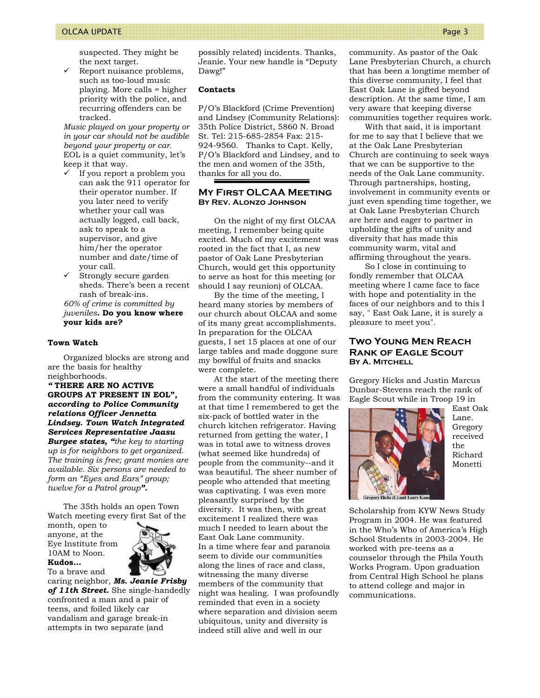#### OLCAA UPDATE Page 3

suspected. They might be the next target.

Report nuisance problems, such as too-loud music playing. More calls = higher priority with the police, and recurring offenders can be tracked.

*Music played on your property or in your car should not be audible beyond your property or car.* EOL is a quiet community, let's keep it that way.

- $\checkmark$  If you report a problem you can ask the 911 operator for their operator number. If you later need to verify whether your call was actually logged, call back, ask to speak to a supervisor, and give him/her the operator number and date/time of your call.
- Strongly secure garden sheds. There's been a recent rash of break-ins. *60% of crime is committed by*

*juveniles.* **Do you know where your kids are?** 

#### **Town Watch**

 Organized blocks are strong and are the basis for healthy neighborhoods.

*"* **THERE ARE NO ACTIVE GROUPS AT PRESENT IN EOL",** *according to Police Community relations Officer Jennetta Lindsey. Town Watch Integrated Services Representative Jaasu Burgee states, "the key to starting up is for neighbors to get organized. The training is free; grant monies are available. Six persons are needed to form an "Eyes and Ears" group; twelve for a Patrol group".* 

 The 35th holds an open Town Watch meeting every first Sat of the

month, open to anyone, at the Eye Institute from 10AM to Noon. **Kudos…** 

To a brave and



caring neighbor, *Ms. Jeanie Frisby of 11th Street.* She single-handedly confronted a man and a pair of teens, and foiled likely car vandalism and garage break-in attempts in two separate (and

possibly related) incidents. Thanks, Jeanie. Your new handle is "Deputy Dawg!"

#### **Contacts**

P/O's Blackford (Crime Prevention) and Lindsey (Community Relations): 35th Police District, 5860 N. Broad St. Tel: 215-685-2854 Fax: 215- 924-9560. Thanks to Capt. Kelly, P/O's Blackford and Lindsey, and to the men and women of the 35th, thanks for all you do.

#### **My First OLCAA Meeting By Rev. Alonzo Johnson**

 On the night of my first OLCAA meeting, I remember being quite excited. Much of my excitement was rooted in the fact that I, as new pastor of Oak Lane Presbyterian Church, would get this opportunity to serve as host for this meeting (or should I say reunion) of OLCAA.

 By the time of the meeting, I heard many stories by members of our church about OLCAA and some of its many great accomplishments. In preparation for the OLCAA guests, I set 15 places at one of our large tables and made doggone sure my bowlful of fruits and snacks were complete.

 At the start of the meeting there were a small handful of individuals from the community entering. It was at that time I remembered to get the six-pack of bottled water in the church kitchen refrigerator. Having returned from getting the water, I was in total awe to witness droves (what seemed like hundreds) of people from the community--and it was beautiful. The sheer number of people who attended that meeting was captivating. I was even more pleasantly surprised by the diversity. It was then, with great excitement I realized there was much I needed to learn about the East Oak Lane community. In a time where fear and paranoia seem to divide our communities along the lines of race and class, witnessing the many diverse members of the community that night was healing. I was profoundly reminded that even in a society where separation and division seem ubiquitous, unity and diversity is indeed still alive and well in our

community. As pastor of the Oak Lane Presbyterian Church, a church that has been a longtime member of this diverse community, I feel that East Oak Lane is gifted beyond description. At the same time, I am very aware that keeping diverse communities together requires work.

 With that said, it is important for me to say that I believe that we at the Oak Lane Presbyterian Church are continuing to seek ways that we can be supportive to the needs of the Oak Lane community. Through partnerships, hosting, involvement in community events or just even spending time together, we at Oak Lane Presbyterian Church are here and eager to partner in upholding the gifts of unity and diversity that has made this community warm, vital and affirming throughout the years.

 So I close in continuing to fondly remember that OLCAA meeting where I came face to face with hope and potentiality in the faces of our neighbors and to this I say, " East Oak Lane, it is surely a pleasure to meet you".

#### **Two Young Men Reach Rank of Eagle Scout By A. Mitchell**

Gregory Hicks and Justin Marcus Dunbar-Stevens reach the rank of Eagle Scout while in Troop 19 in



East Oak Lane. Gregory received the Richard Monetti

Scholarship from KYW News Study Program in 2004. He was featured in the Who's Who of America's High School Students in 2003-2004. He worked with pre-teens as a counselor through the Phila Youth Works Program. Upon graduation from Central High School he plans to attend college and major in communications.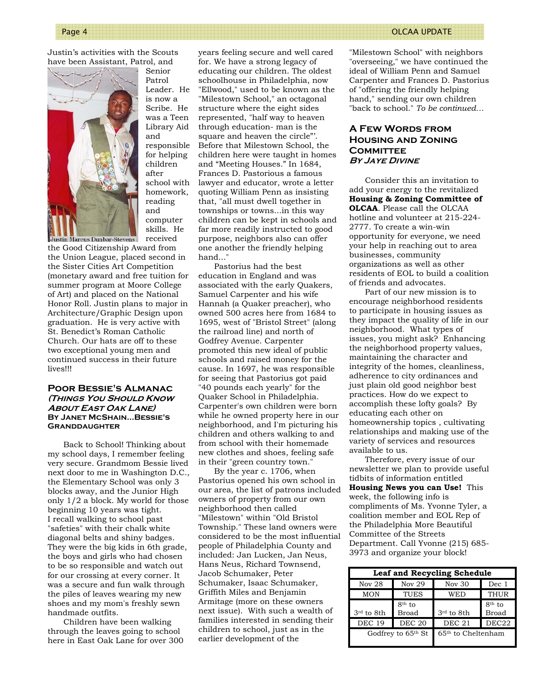Justin's activities with the Scouts have been Assistant, Patrol, and



Senior Patrol Leader. He is now a Scribe. He was a Teen Library Aid and responsible for helping children after school with homework, reading and computer skills. He received

the Good Citizenship Award from the Union League, placed second in the Sister Cities Art Competition (monetary award and free tuition for summer program at Moore College of Art) and placed on the National Honor Roll. Justin plans to major in Architecture/Graphic Design upon graduation. He is very active with St. Benedict's Roman Catholic Church. Our hats are off to these two exceptional young men and continued success in their future lives!!!

#### **Poor Bessie's Almanac (Things You Should Know About East Oak Lane) By Janet McShain...Bessie's Granddaughter**

 Back to School! Thinking about my school days, I remember feeling very secure. Grandmom Bessie lived next door to me in Washington D.C., the Elementary School was only 3 blocks away, and the Junior High only 1/2 a block. My world for those beginning 10 years was tight. I recall walking to school past "safeties" with their chalk white diagonal belts and shiny badges. They were the big kids in 6th grade, the boys and girls who had chosen to be so responsible and watch out for our crossing at every corner. It was a secure and fun walk through the piles of leaves wearing my new shoes and my mom's freshly sewn handmade outfits.

 Children have been walking through the leaves going to school here in East Oak Lane for over 300

years feeling secure and well cared for. We have a strong legacy of educating our children. The oldest schoolhouse in Philadelphia, now "Ellwood," used to be known as the "Milestown School," an octagonal structure where the eight sides represented, "half way to heaven through education- man is the square and heaven the circle"'. Before that Milestown School, the children here were taught in homes and "Meeting Houses." In 1684, Frances D. Pastorious a famous lawyer and educator, wrote a letter quoting William Penn as insisting that, "all must dwell together in townships or towns...in this way children can be kept in schools and far more readily instructed to good purpose, neighbors also can offer one another the friendly helping hand..."

 Pastorius had the best education in England and was associated with the early Quakers, Samuel Carpenter and his wife Hannah (a Quaker preacher), who owned 500 acres here from 1684 to 1695, west of "Bristol Street" (along the railroad line) and north of Godfrey Avenue. Carpenter promoted this new ideal of public schools and raised money for the cause. In 1697, he was responsible for seeing that Pastorius got paid "40 pounds each yearly" for the Quaker School in Philadelphia. Carpenter's own children were born while he owned property here in our neighborhood, and I'm picturing his children and others walking to and from school with their homemade new clothes and shoes, feeling safe in their "green country town."

 By the year c. 1706, when Pastorius opened his own school in our area, the list of patrons included owners of property from our own neighborhood then called "Milestown" within "Old Bristol Township." These land owners were considered to be the most influential people of Philadelphia County and included: Jan Lucken, Jan Neus, Hans Neus, Richard Townsend, Jacob Schumaker, Peter Schumaker, Isaac Schumaker, Griffith Miles and Benjamin Armitage (more on these owners next issue). With such a wealth of families interested in sending their children to school, just as in the earlier development of the

"Milestown School" with neighbors "overseeing," we have continued the ideal of William Penn and Samuel Carpenter and Frances D. Pastorius of "offering the friendly helping hand," sending our own children "back to school." *To be continued…* 

# **A Few Words from Housing and Zoning COMMITTEE By Jaye Divine**

 Consider this an invitation to add your energy to the revitalized **Housing & Zoning Committee of OLCAA**. Please call the OLCAA hotline and volunteer at 215-224- 2777. To create a win-win opportunity for everyone, we need your help in reaching out to area businesses, community organizations as well as other residents of EOL to build a coalition of friends and advocates.

 Part of our new mission is to encourage neighborhood residents to participate in housing issues as they impact the quality of life in our neighborhood. What types of issues, you might ask? Enhancing the neighborhood property values, maintaining the character and integrity of the homes, cleanliness, adherence to city ordinances and just plain old good neighbor best practices. How do we expect to accomplish these lofty goals? By educating each other on homeownership topics , cultivating relationships and making use of the variety of services and resources available to us.

 Therefore, every issue of our newsletter we plan to provide useful tidbits of information entitled **Housing News you can Use!** This week, the following info is compliments of Ms. Yvonne Tyler, a coalition member and EOL Rep of the Philadelphia More Beautiful Committee of the Streets Department. Call Yvonne (215) 685- 3973 and organize your block!

| <b>Leaf and Recycling Schedule</b> |                          |                                |                          |  |
|------------------------------------|--------------------------|--------------------------------|--------------------------|--|
| Nov $28$                           | Nov $29$                 | Nov 30                         | Dec 1                    |  |
| <b>MON</b>                         | <b>TUES</b>              | WED                            | <b>THUR</b>              |  |
| 3rd to 8th                         | $8th$ to<br><b>Broad</b> | 3rd to 8th                     | $8th$ to<br><b>Broad</b> |  |
| <b>DEC 19</b>                      | <b>DEC 20</b>            | DEC <sub>21</sub>              | DEC <sub>22</sub>        |  |
| Godfrey to 65th St                 |                          | 65 <sup>th</sup> to Cheltenham |                          |  |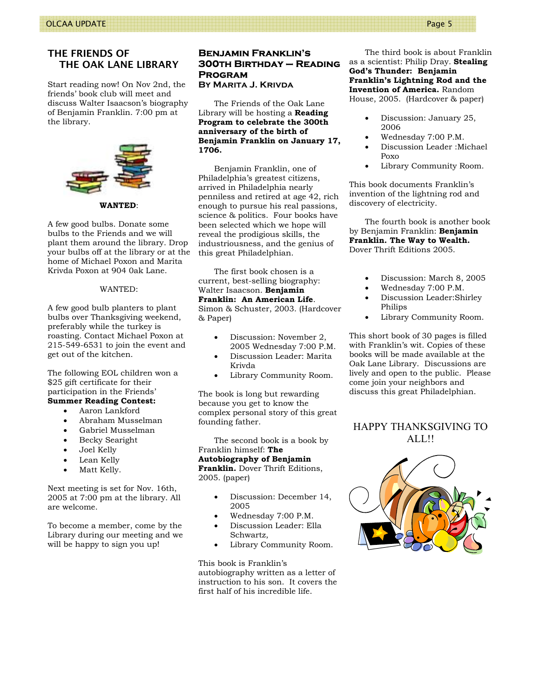# THE FRIENDS OF THE OAK LANE LIBRARY

Start reading now! On Nov 2nd, the friends' book club will meet and discuss Walter Isaacson's biography of Benjamin Franklin. 7:00 pm at the library.



**WANTED**:

A few good bulbs. Donate some bulbs to the Friends and we will plant them around the library. Drop your bulbs off at the library or at the home of Michael Poxon and Marita Krivda Poxon at 904 0ak Lane.

#### WANTED:

A few good bulb planters to plant bulbs over Thanksgiving weekend, preferably while the turkey is roasting. Contact Michael Poxon at 215-549-6531 to join the event and get out of the kitchen.

The following EOL children won a \$25 gift certificate for their participation in the Friends' **Summer Reading Contest:**

# • Aaron Lankford

- Abraham Musselman
- Gabriel Musselman
- Becky Searight
- Joel Kelly
- Lean Kelly
- Matt Kelly.

Next meeting is set for Nov. 16th, 2005 at 7:00 pm at the library. All are welcome.

To become a member, come by the Library during our meeting and we will be happy to sign you up!

# **Benjamin Franklin's 300th Birthday – Reading Program**

**By Marita J. Krivda** 

 The Friends of the Oak Lane Library will be hosting a **Reading Program to celebrate the 300th anniversary of the birth of Benjamin Franklin on January 17, 1706.**

 Benjamin Franklin, one of Philadelphia's greatest citizens, arrived in Philadelphia nearly penniless and retired at age 42, rich enough to pursue his real passions, science & politics. Four books have been selected which we hope will reveal the prodigious skills, the industriousness, and the genius of this great Philadelphian.

 The first book chosen is a current, best-selling biography: Walter Isaacson. **Benjamin** 

#### **Franklin: An American Life**. Simon & Schuster, 2003. (Hardcover & Paper)

- Discussion: November 2, 2005 Wednesday 7:00 P.M.
- Discussion Leader: Marita Krivda
- Library Community Room.

The book is long but rewarding because you get to know the complex personal story of this great founding father.

 The second book is a book by Franklin himself: **The Autobiography of Benjamin Franklin.** Dover Thrift Editions, 2005. (paper)

- Discussion: December 14, 2005
- Wednesday 7:00 P.M.
- Discussion Leader: Ella Schwartz,
- Library Community Room.

This book is Franklin's autobiography written as a letter of instruction to his son. It covers the first half of his incredible life.

 The third book is about Franklin as a scientist: Philip Dray. **Stealing God's Thunder: Benjamin Franklin's Lightning Rod and the Invention of America.** Random House, 2005. (Hardcover & paper)

- Discussion: January 25, 2006
- Wednesday 7:00 P.M.
- Discussion Leader :Michael Poxo
- Library Community Room.

This book documents Franklin's invention of the lightning rod and discovery of electricity.

 The fourth book is another book by Benjamin Franklin: **Benjamin Franklin. The Way to Wealth.** Dover Thrift Editions 2005.

- Discussion: March 8, 2005
- Wednesday 7:00 P.M.
- Discussion Leader:Shirley Philips
- Library Community Room.

This short book of 30 pages is filled with Franklin's wit. Copies of these books will be made available at the Oak Lane Library. Discussions are lively and open to the public. Please come join your neighbors and discuss this great Philadelphian.

# HAPPY THANKSGIVING TO ALL!!

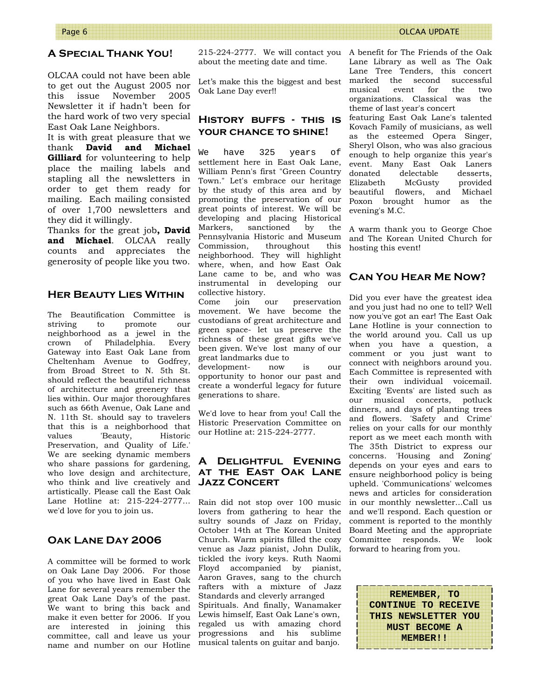# **A Special Thank You!**

OLCAA could not have been able to get out the August 2005 nor this issue November 2005 Newsletter it if hadn't been for the hard work of two very special East Oak Lane Neighbors.

It is with great pleasure that we thank **David and Michael Gilliard** for volunteering to help place the mailing labels and stapling all the newsletters in order to get them ready for mailing. Each mailing consisted of over 1,700 newsletters and they did it willingly.

Thanks for the great job**, David and Michael**. OLCAA really counts and appreciates the generosity of people like you two.

# **Her Beauty Lies Within**

The Beautification Committee is striving to promote our neighborhood as a jewel in the crown of Philadelphia. Every Gateway into East Oak Lane from Cheltenham Avenue to Godfrey, from Broad Street to N. 5th St. should reflect the beautiful richness of architecture and greenery that lies within. Our major thoroughfares such as 66th Avenue, Oak Lane and N. 11th St. should say to travelers that this is a neighborhood that values 'Beauty, Historic Preservation, and Quality of Life.' We are seeking dynamic members who share passions for gardening, who love design and architecture, who think and live creatively and artistically. Please call the East Oak Lane Hotline at: 215-224-2777… we'd love for you to join us.

# **Oak Lane Day 2006**

A committee will be formed to work on Oak Lane Day 2006. For those of you who have lived in East Oak Lane for several years remember the great Oak Lane Day's of the past. We want to bring this back and make it even better for 2006. If you are interested in joining this committee, call and leave us your name and number on our Hotline

215-224-2777. We will contact you A benefit for The Friends of the Oak about the meeting date and time.

Let's make this the biggest and best marked Oak Lane Day ever!!

# **History buffs - this is your chance to shine!**

We have 325 years of settlement here in East Oak Lane, William Penn's first "Green Country Town." Let's embrace our heritage by the study of this area and by promoting the preservation of our great points of interest. We will be developing and placing Historical Markers, sanctioned by the Pennsylvania Historic and Museum Commission, throughout this neighborhood. They will highlight where, when, and how East Oak Lane came to be, and who was instrumental in developing our collective history.

Come join our preservation movement. We have become the custodians of great architecture and green space- let us preserve the richness of these great gifts we've been given. We've lost many of our great landmarks due to

development- now is our opportunity to honor our past and create a wonderful legacy for future generations to share.

We'd love to hear from you! Call the Historic Preservation Committee on our Hotline at: 215-224-2777.

# **A Delightful Evening at the East Oak Lane Jazz Concert**

Rain did not stop over 100 music lovers from gathering to hear the sultry sounds of Jazz on Friday, October 14th at The Korean United Church. Warm spirits filled the cozy venue as Jazz pianist, John Dulik, tickled the ivory keys. Ruth Naomi Floyd accompanied by pianist, Aaron Graves, sang to the church rafters with a mixture of Jazz Standards and cleverly arranged Spirituals. And finally, Wanamaker Lewis himself, East Oak Lane's own, regaled us with amazing chord progressions and his sublime musical talents on guitar and banjo.

Lane Library as well as The Oak Lane Tree Tenders, this concert the second successful musical event for the two organizations. Classical was the theme of last year's concert

featuring East Oak Lane's talented Kovach Family of musicians, as well as the esteemed Opera Singer, Sheryl Olson, who was also gracious enough to help organize this year's event. Many East Oak Laners donated delectable desserts, Elizabeth McGusty provided beautiful flowers, and Michael Poxon brought humor as the evening's M.C.

A warm thank you to George Choe and The Korean United Church for hosting this event!

#### **Can You Hear Me Now?**

Did you ever have the greatest idea and you just had no one to tell? Well now you've got an ear! The East Oak Lane Hotline is your connection to the world around you. Call us up when you have a question, a comment or you just want to connect with neighbors around you. Each Committee is represented with their own individual voicemail. Exciting 'Events' are listed such as our musical concerts, potluck dinners, and days of planting trees and flowers. 'Safety and Crime' relies on your calls for our monthly report as we meet each month with The 35th District to express our concerns. 'Housing and Zoning' depends on your eyes and ears to ensure neighborhood policy is being upheld. 'Communications' welcomes news and articles for consideration in our monthly newsletter...Call us and we'll respond. Each question or comment is reported to the monthly Board Meeting and the appropriate Committee responds. We look forward to hearing from you.

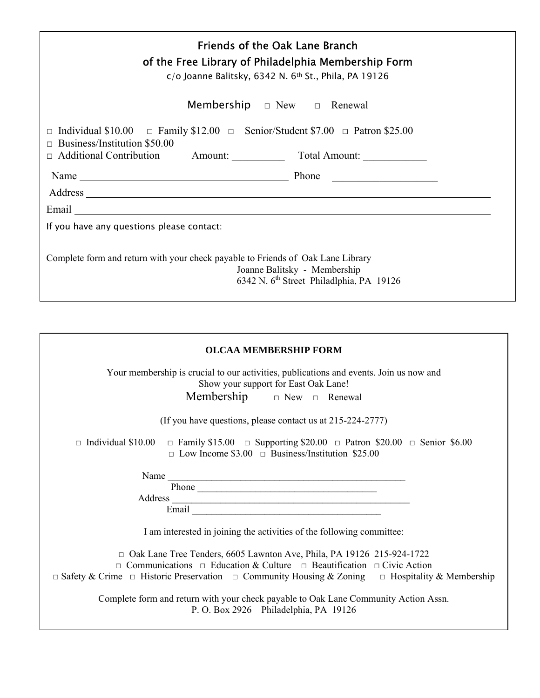| <b>Friends of the Oak Lane Branch</b><br>of the Free Library of Philadelphia Membership Form<br>$c$ /o Joanne Balitsky, 6342 N. 6th St., Phila, PA 19126<br><b>Membership</b> $\Box$ New $\Box$ Renewal                             |  |  |  |  |
|-------------------------------------------------------------------------------------------------------------------------------------------------------------------------------------------------------------------------------------|--|--|--|--|
| $\Box$ Individual \$10.00 $\Box$ Family \$12.00 $\Box$ Senior/Student \$7.00 $\Box$ Patron \$25.00<br>Business/Institution \$50.00<br>$\Box$<br>□ Additional Contribution Amount: Total Amount:                                     |  |  |  |  |
| Name Phone Phone                                                                                                                                                                                                                    |  |  |  |  |
| Email <u>experience</u> and the contract of the contract of the contract of the contract of the contract of the contract of the contract of the contract of the contract of the contract of the contract of the contract of the con |  |  |  |  |
| If you have any questions please contact:                                                                                                                                                                                           |  |  |  |  |
| Complete form and return with your check payable to Friends of Oak Lane Library<br>Joanne Balitsky - Membership<br>6342 N. 6 <sup>th</sup> Street Philadlphia, PA 19126                                                             |  |  |  |  |

| <b>OLCAA MEMBERSHIP FORM</b>                                                                                                                                                                                                                                                                       |  |  |  |  |
|----------------------------------------------------------------------------------------------------------------------------------------------------------------------------------------------------------------------------------------------------------------------------------------------------|--|--|--|--|
| Your membership is crucial to our activities, publications and events. Join us now and<br>Show your support for East Oak Lane!<br>Membership $\Box$ New $\Box$ Renewal                                                                                                                             |  |  |  |  |
| (If you have questions, please contact us at $215-224-2777$ )                                                                                                                                                                                                                                      |  |  |  |  |
| $\Box$ Family \$15.00 $\Box$ Supporting \$20.00 $\Box$ Patron \$20.00 $\Box$ Senior \$6.00<br>$\Box$ Individual \$10.00<br>$\Box$ Low Income \$3.00 $\Box$ Business/Institution \$25.00                                                                                                            |  |  |  |  |
| Name                                                                                                                                                                                                                                                                                               |  |  |  |  |
| Address and the contract of the contract of the contract of the contract of the contract of the contract of the contract of the contract of the contract of the contract of the contract of the contract of the contract of th                                                                     |  |  |  |  |
| I am interested in joining the activities of the following committee:                                                                                                                                                                                                                              |  |  |  |  |
| $\Box$ Oak Lane Tree Tenders, 6605 Lawnton Ave, Phila, PA 19126 215-924-1722<br>$\Box$ Communications $\Box$ Education & Culture $\Box$ Beautification $\Box$ Civic Action<br>$\Box$ Safety & Crime $\Box$ Historic Preservation $\Box$ Community Housing & Zoning $\Box$ Hospitality & Membership |  |  |  |  |
| Complete form and return with your check payable to Oak Lane Community Action Assn.<br>P.O. Box 2926 Philadelphia, PA 19126                                                                                                                                                                        |  |  |  |  |